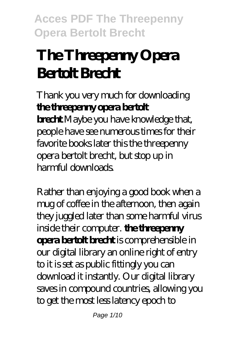# **The Threepenny Opera Bertolt Brecht**

Thank you very much for downloading **the threepenny opera bertolt brecht**.Maybe you have knowledge that, people have see numerous times for their favorite books later this the threepenny opera bertolt brecht, but stop up in harmful downloads.

Rather than enjoying a good book when a mug of coffee in the afternoon, then again they juggled later than some harmful virus inside their computer. **the threepenny opera bertolt brecht** is comprehensible in our digital library an online right of entry to it is set as public fittingly you can download it instantly. Our digital library saves in compound countries, allowing you to get the most less latency epoch to

Page 1/10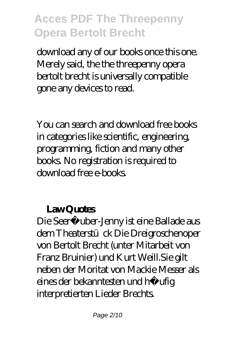download any of our books once this one. Merely said, the the threepenny opera bertolt brecht is universally compatible gone any devices to read.

You can search and download free books in categories like scientific, engineering, programming, fiction and many other books. No registration is required to download free e-books.

#### Law Quotes

Die Seeräuber-Jenny ist eine Ballade aus dem Theaterstück Die Dreigroschenoper von Bertolt Brecht (unter Mitarbeit von Franz Bruinier) und Kurt Weill.Sie gilt neben der Moritat von Mackie Messer als eines der bekanntesten und häufig interpretierten Lieder Brechts.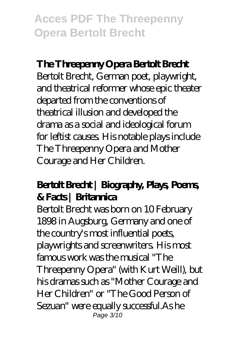#### **The Threepenny Opera Bertolt Brecht**

Bertolt Brecht, German poet, playwright, and theatrical reformer whose epic theater departed from the conventions of theatrical illusion and developed the drama as a social and ideological forum for leftist causes. His notable plays include The Threepenny Opera and Mother Courage and Her Children.

#### **Bertolt Brecht | Biography, Plays, Poems, & Facts | Britannica**

Bertolt Brecht was born on 10 February 1898 in Augsburg, Germany and one of the country's most influential poets, playwrights and screenwriters. His most famous work was the musical "The Threepenny Opera" (with Kurt Weill), but his dramas such as "Mother Courage and Her Children" or "The Good Person of Sezuan" were equally successful.As he Page 3/10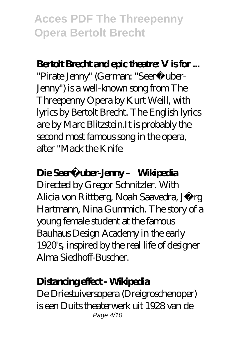#### **Bertolt Brecht and epic theatre: V is for ...**

"Pirate Jenny" (German: "Seeräuber-Jenny") is a well-known song from The Threepenny Opera by Kurt Weill, with lyrics by Bertolt Brecht. The English lyrics are by Marc Blitzstein.It is probably the second most famous song in the opera, after "Mack the Knife

#### Die Seeräuber-Jenny – Wikipedia

Directed by Gregor Schnitzler. With Alicia von Rittberg, Noah Saavedra, Jörg Hartmann, Nina Gummich. The story of a young female student at the famous Bauhaus Design Academy in the early 1920's, inspired by the real life of designer Alma Siedhoff-Buscher.

#### **Distancing effect - Wikipedia**

De Driestuiversopera (Dreigroschenoper) is een Duits theaterwerk uit 1928 van de Page 4/10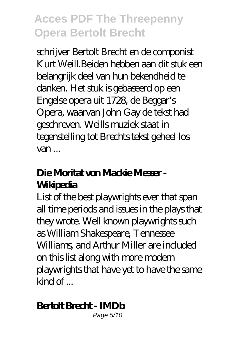schrijver Bertolt Brecht en de componist Kurt Weill.Beiden hebben aan dit stuk een belangrijk deel van hun bekendheid te danken. Het stuk is gebaseerd op een Engelse opera uit 1728, de Beggar's Opera, waarvan John Gay de tekst had geschreven. Weills muziek staat in tegenstelling tot Brechts tekst geheel los van ...

### **Die Moritat von Mackie Messer - Wikipedia**

List of the best playwrights ever that span all time periods and issues in the plays that they wrote. Well known playwrights such as William Shakespeare, Tennessee Williams, and Arthur Miller are included on this list along with more modern playwrights that have yet to have the same  $\mathsf{kind} \, \mathsf{of} \, \ldots$ 

### **Bertolt Brecht - IMDb**

Page 5/10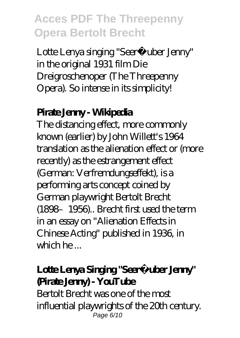Lotte Lenya singing "Seeräuber Jenny" in the original 1931 film Die Dreigroschenoper (The Threepenny Opera). So intense in its simplicity!

#### **Pirate Jenny - Wikipedia**

The distancing effect, more commonly known (earlier) by John Willett's 1964 translation as the alienation effect or (more recently) as the estrangement effect (German: Verfremdungseffekt), is a performing arts concept coined by German playwright Bertolt Brecht (1898–1956).. Brecht first used the term in an essay on "Alienation Effects in Chinese Acting" published in 1936, in which he ...

### Lotte Lenya Singing "Seeräuber Jenny" **(Pirate Jenny) - YouTube**

Bertolt Brecht was one of the most influential playwrights of the 20th century. Page 6/10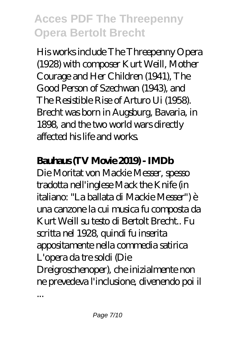His works include The Threepenny Opera (1928) with composer Kurt Weill, Mother Courage and Her Children (1941), The Good Person of Szechwan (1943), and The Resistible Rise of Arturo Ui (1958). Brecht was born in Augsburg, Bavaria, in 1898, and the two world wars directly affected his life and works.

#### **Bahas(IV Movie 2019 - IMDb**

Die Moritat von Mackie Messer, spesso tradotta nell'inglese Mack the Knife (in italiano: "La ballata di Mackie Messer") è una canzone la cui musica fu composta da Kurt Weill su testo di Bertolt Brecht.. Fu scritta nel 1928, quindi fu inserita appositamente nella commedia satirica L'opera da tre soldi (Die Dreigroschenoper), che inizialmente non ne prevedeva l'inclusione, divenendo poi il ...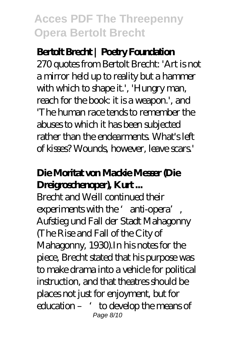#### **Bertolt Brecht | Poetry Foundation**

270 quotes from Bertolt Brecht: 'Art is not a mirror held up to reality but a hammer with which to shape it.', 'Hungry man, reach for the book: it is a weapon.', and 'The human race tends to remember the abuses to which it has been subjected rather than the endearments. What's left of kisses? Wounds, however, leave scars.'

### **Die Moritat von Mackie Messer (Die Dreigroschenoper), Kurt ...**

Brecht and Weill continued their experiments with the 'anti-opera', Aufstieg und Fall der Stadt Mahagonny (The Rise and Fall of the City of Mahagonny, 1930).In his notes for the piece, Brecht stated that his purpose was to make drama into a vehicle for political instruction, and that theatres should be places not just for enjoyment, but for education – 'to develop the means of Page 8/10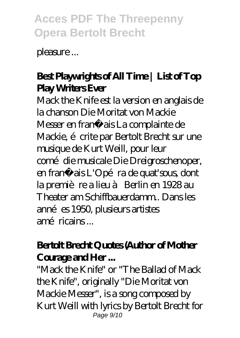pleasure ...

### **Best Playwrights of All Time | List of Top Play Writers Ever**

Mack the Knife est la version en anglais de la chanson Die Moritat von Mackie Messer en français La complainte de Mackie, é crite par Bertolt Brecht sur une musique de Kurt Weill, pour leur comé die musicale Die Dreigroschenoper, en français L'Opéra de quat'sous, dont la première a lieu à Berlin en 1928 au Theater am Schiffbauerdamm.. Dans les années 1950, plusieurs artistes amé ricains .

#### **Bertolt Brecht Quotes (Author of Mother Courage and Her ...**

"Mack the Knife" or "The Ballad of Mack the Knife", originally "Die Moritat von Mackie Messer", is a song composed by Kurt Weill with lyrics by Bertolt Brecht for Page 9/10